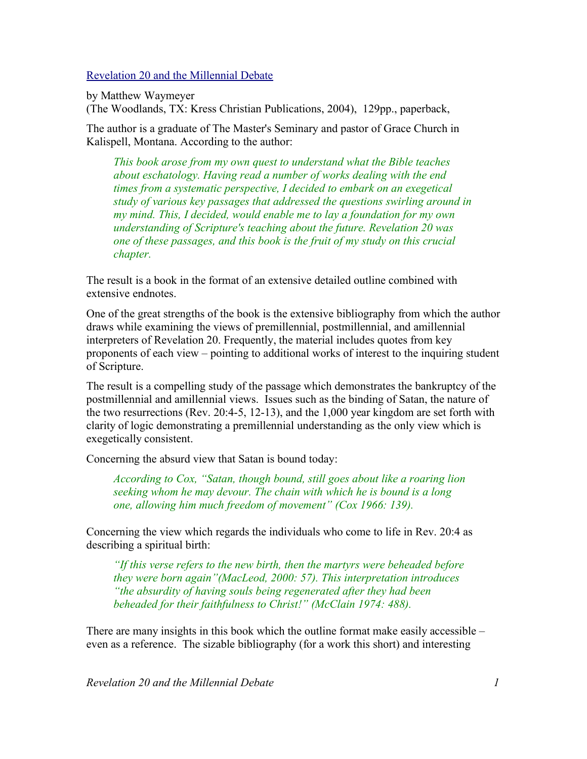[Revelation 20 and the Millennial Debate](http://www.bestbookdeal.com/book/compare/0-9717568-8-0)

by Matthew Waymeyer

(The Woodlands, TX: Kress Christian Publications, 2004), 129pp., paperback,

The author is a graduate of The Master's Seminary and pastor of Grace Church in Kalispell, Montana. According to the author:

*This book arose from my own quest to understand what the Bible teaches about eschatology. Having read a number of works dealing with the end times from a systematic perspective, I decided to embark on an exegetical study of various key passages that addressed the questions swirling around in my mind. This, I decided, would enable me to lay a foundation for my own understanding of Scripture's teaching about the future. Revelation 20 was one of these passages, and this book is the fruit of my study on this crucial chapter.*

The result is a book in the format of an extensive detailed outline combined with extensive endnotes.

One of the great strengths of the book is the extensive bibliography from which the author draws while examining the views of premillennial, postmillennial, and amillennial interpreters of Revelation 20. Frequently, the material includes quotes from key proponents of each view – pointing to additional works of interest to the inquiring student of Scripture.

The result is a compelling study of the passage which demonstrates the bankruptcy of the postmillennial and amillennial views. Issues such as the binding of Satan, the nature of the two resurrections (Rev. 20:4-5, 12-13), and the 1,000 year kingdom are set forth with clarity of logic demonstrating a premillennial understanding as the only view which is exegetically consistent.

Concerning the absurd view that Satan is bound today:

*According to Cox, "Satan, though bound, still goes about like a roaring lion seeking whom he may devour. The chain with which he is bound is a long one, allowing him much freedom of movement" (Cox 1966: 139).*

Concerning the view which regards the individuals who come to life in Rev. 20:4 as describing a spiritual birth:

*"If this verse refers to the new birth, then the martyrs were beheaded before they were born again"(MacLeod, 2000: 57). This interpretation introduces "the absurdity of having souls being regenerated after they had been beheaded for their faithfulness to Christ!" (McClain 1974: 488).*

There are many insights in this book which the outline format make easily accessible – even as a reference. The sizable bibliography (for a work this short) and interesting